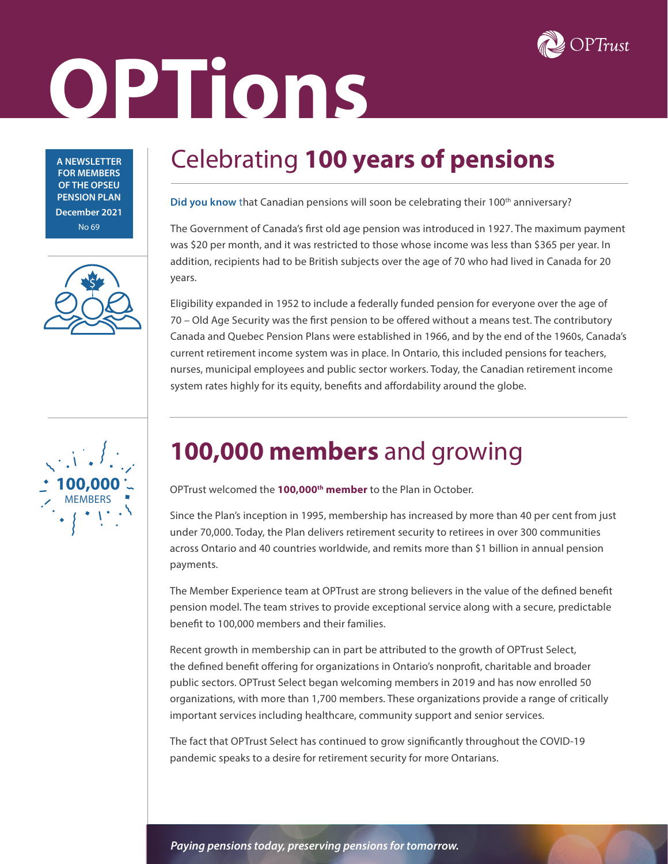

# **OPTions**

**A NEWSLETTER FOR MEMBERS OF THE OPSEU PENSION PLAN December 2021** No 69



## **100,000** MEMBERS

## Celebrating **100 years of pensions**

Did you know that Canadian pensions will soon be celebrating their 100<sup>th</sup> anniversary?

The Government of Canada's first old age pension was introduced in 1927. The maximum payment was \$20 per month, and it was restricted to those whose income was less than \$365 per year. In addition, recipients had to be British subjects over the age of 70 who had lived in Canada for 20 years.

Eligibility expanded in 1952 to include a federally funded pension for everyone over the age of 70 – Old Age Security was the first pension to be offered without a means test. The contributory Canada and Quebec Pension Plans were established in 1966, and by the end of the 1960s, Canada's current retirement income system was in place. In Ontario, this included pensions for teachers, nurses, municipal employees and public sector workers. Today, the Canadian retirement income system rates highly for its equity, benefits and affordability around the globe.

## **100,000 members** and growing

OPTrust welcomed the **100,000th member** to the Plan in October.

Since the Plan's inception in 1995, membership has increased by more than 40 per cent from just under 70,000. Today, the Plan delivers retirement security to retirees in over 300 communities across Ontario and 40 countries worldwide, and remits more than \$1 billion in annual pension payments.

The Member Experience team at OPTrust are strong believers in the value of the defined benefit pension model. The team strives to provide exceptional service along with a secure, predictable benefit to 100,000 members and their families.

Recent growth in membership can in part be attributed to the growth of OPTrust Select, the defined benefit offering for organizations in Ontario's nonprofit, charitable and broader public sectors. OPTrust Select began welcoming members in 2019 and has now enrolled 50 organizations, with more than 1,700 members. These organizations provide a range of critically important services including healthcare, community support and senior services.

The fact that OPTrust Select has continued to grow significantly throughout the COVID-19 pandemic speaks to a desire for retirement security for more Ontarians.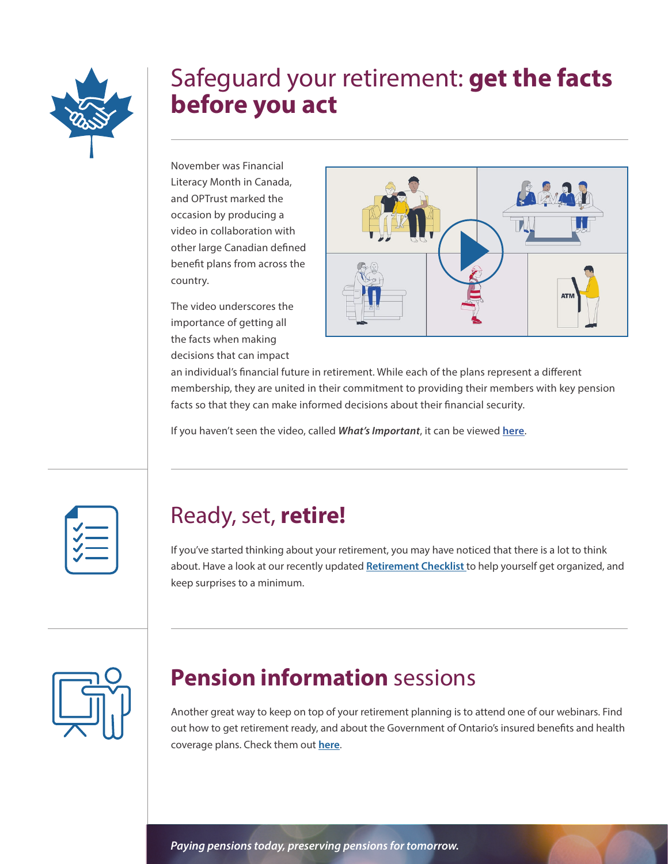

#### Safeguard your retirement: **get the facts before you act**

November was Financial Literacy Month in Canada, and OPTrust marked the occasion by producing a video in collaboration with other large Canadian defined benefit plans from across the country.

The video underscores the importance of getting all the facts when making decisions that can impact



an individual's financial future in retirement. While each of the plans represent a different membership, they are united in their commitment to providing their members with key pension facts so that they can make informed decisions about their financial security.

If you haven't seen the video, called *What's Important*, it can be viewed **[here](https://vimeo.com/646476574)**.



#### Ready, set, **retire!**

If you've started thinking about your retirement, you may have noticed that there is a lot to think about. Have a look at our recently updated **[Retirement Checklist](https://www.optrust.com/documents/FactSheets/Your-retirement-planning-checklist.pdf)** to help yourself get organized, and keep surprises to a minimum.



#### **Pension information** sessions

Another great way to keep on top of your retirement planning is to attend one of our webinars. Find out how to get retirement ready, and about the Government of Ontario's insured benefits and health coverage plans. Check them out **[here](https://www.optrust.com/Members/DirectContact/default.asp)**.

*Paying pensions today, preserving pensions for tomorrow.*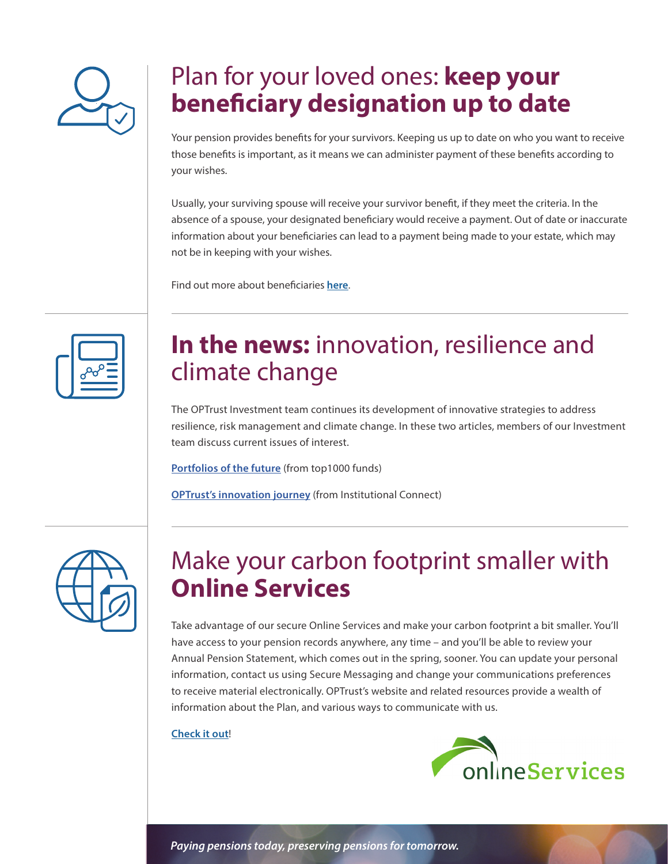

### Plan for your loved ones: **keep your beneficiary designation up to date**

Your pension provides benefits for your survivors. Keeping us up to date on who you want to receive those benefits is important, as it means we can administer payment of these benefits according to your wishes.

Usually, your surviving spouse will receive your survivor benefit, if they meet the criteria. In the absence of a spouse, your designated beneficiary would receive a payment. Out of date or inaccurate information about your beneficiaries can lead to a payment being made to your estate, which may not be in keeping with your wishes.

Find out more about beneficiaries **[here](https://www.optrust.com/publications/factsheets/your-pension-beneficiaries.asp)**.

#### **In the news:** innovation, resilience and climate change

The OPTrust Investment team continues its development of innovative strategies to address resilience, risk management and climate change. In these two articles, members of our Investment team discuss current issues of interest.

**[Portfolios of the future](https://www.top1000funds.com/2021/11/portfolios-of-the-future-resilience-and-risk-management/)** (from top1000 funds)

**[OPTrust's innovation journey](https://institutionalconnect.com/optrust-innovation-manage-risks/)** (from Institutional Connect)

| $\boldsymbol{\eta}$ |
|---------------------|
|                     |

#### Make your carbon footprint smaller with **Online Services**

Take advantage of our secure Online Services and make your carbon footprint a bit smaller. You'll have access to your pension records anywhere, any time – and you'll be able to review your Annual Pension Statement, which comes out in the spring, sooner. You can update your personal information, contact us using Secure Messaging and change your communications preferences to receive material electronically. OPTrust's website and related resources provide a wealth of information about the Plan, and various ways to communicate with us.

#### **[Check it out](https://www.optrust.com/OnlineServices/default.asp)**!



*Paying pensions today, preserving pensions for tomorrow.*